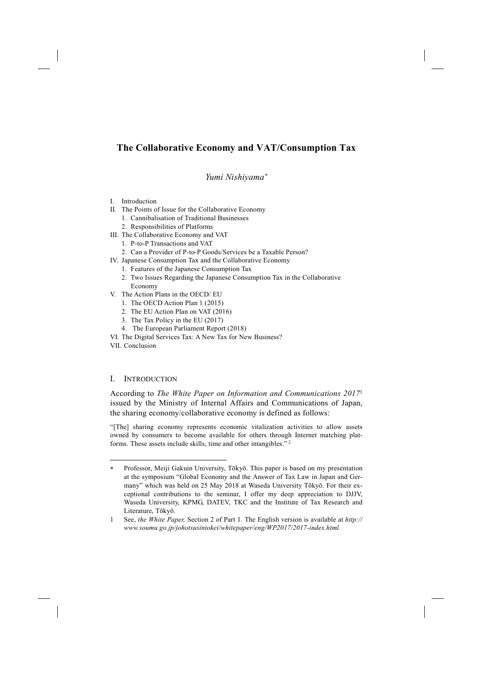# **The Collaborative Economy and VAT/Consumption Tax**

*Yumi Nishiyama*<sup>∗</sup>

- I. Introduction
- II. The Points of Issue for the Collaborative Economy
	- 1. Cannibalisation of Traditional Businesses
	- 2. Responsibilities of Platforms
- III. The Collaborative Economy and VAT
	- 1. P-to-P Transactions and VAT
	- 2. Can a Provider of P-to-P Goods/Services be a Taxable Person?
- IV. Japanese Consumption Tax and the Collaborative Economy
	- 1. Features of the Japanese Consumption Tax
	- 2. Two Issues Regarding the Japanese Consumption Tax in the Collaborative Economy
- V. The Action Plans in the OECD/ EU
	- 1. The OECD Action Plan 1 (2015)
	- 2. The EU Action Plan on VAT (2016)
	- 3. The Tax Policy in the EU (2017)
	- 4. The European Parliament Report (2018)
- VI. The Digital Services Tax: A New Tax for New Business?
- VII. Conclusion

-

### I. INTRODUCTION

According to *The White Paper on Information and Communications 2017*<sup>1</sup> issued by the Ministry of Internal Affairs and Communications of Japan, the sharing economy/collaborative economy is defined as follows:

"[The] sharing economy represents economic vitalization activities to allow assets owned by consumers to become available for others through Internet matching platforms. These assets include skills, time and other intangibles." 2

<sup>∗</sup> Professor, Meiji Gakuin University, Tōkyō. This paper is based on my presentation at the symposium "Global Economy and the Answer of Tax Law in Japan and Germany" which was held on 25 May 2018 at Waseda University Tōkyō. For their exceptional contributions to the seminar, I offer my deep appreciation to DJJV, Waseda University, KPMG, DATEV, TKC and the Institute of Tax Research and Literature, Tōkyō.

<sup>1</sup> See, *the White Paper,* Section 2 of Part 1. The English version is available at *http:// www.soumu.go.jp/johotsusintokei/whitepaper/eng/WP2017/2017-index.html.*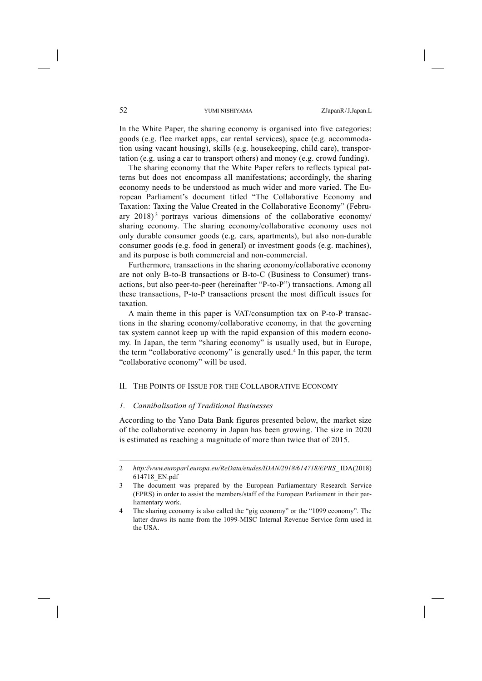In the White Paper, the sharing economy is organised into five categories: goods (e.g. flee market apps, car rental services), space (e.g. accommodation using vacant housing), skills (e.g. housekeeping, child care), transportation (e.g. using a car to transport others) and money (e.g. crowd funding).

The sharing economy that the White Paper refers to reflects typical patterns but does not encompass all manifestations; accordingly, the sharing economy needs to be understood as much wider and more varied. The European Parliament's document titled "The Collaborative Economy and Taxation: Taxing the Value Created in the Collaborative Economy" (February 2018) <sup>3</sup> portrays various dimensions of the collaborative economy/ sharing economy. The sharing economy/collaborative economy uses not only durable consumer goods (e.g. cars, apartments), but also non-durable consumer goods (e.g. food in general) or investment goods (e.g. machines), and its purpose is both commercial and non-commercial.

Furthermore, transactions in the sharing economy/collaborative economy are not only B-to-B transactions or B-to-C (Business to Consumer) transactions, but also peer-to-peer (hereinafter "P-to-P") transactions. Among all these transactions, P-to-P transactions present the most difficult issues for taxation.

A main theme in this paper is VAT/consumption tax on P-to-P transactions in the sharing economy/collaborative economy, in that the governing tax system cannot keep up with the rapid expansion of this modern economy. In Japan, the term "sharing economy" is usually used, but in Europe, the term "collaborative economy" is generally used.4 In this paper, the term "collaborative economy" will be used.

#### II. THE POINTS OF ISSUE FOR THE COLLABORATIVE ECONOMY

#### *1. Cannibalisation of Traditional Businesses*

According to the Yano Data Bank figures presented below, the market size of the collaborative economy in Japan has been growing. The size in 2020 is estimated as reaching a magnitude of more than twice that of 2015.

<sup>2</sup> *http://www.europarl.europa.eu/ReData/etudes/IDAN/2018/614718/EPRS\_* IDA(2018) 614718\_EN.pdf

<sup>3</sup> The document was prepared by the European Parliamentary Research Service (EPRS) in order to assist the members/staff of the European Parliament in their parliamentary work.

<sup>4</sup> The sharing economy is also called the "gig economy" or the "1099 economy". The latter draws its name from the 1099-MISC Internal Revenue Service form used in the USA.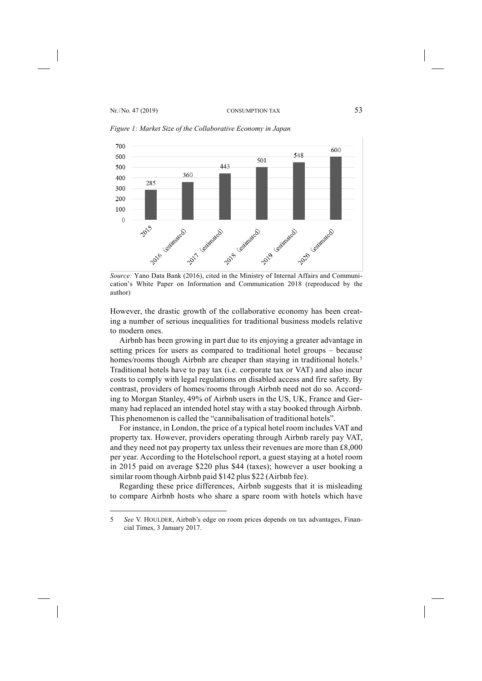-



*Figure 1: Market Size of the Collaborative Economy in Japan*

*Source:* Yano Data Bank (2016), cited in the Ministry of Internal Affairs and Communication's White Paper on Information and Communication 2018 (reproduced by the author)

However, the drastic growth of the collaborative economy has been creating a number of serious inequalities for traditional business models relative to modern ones.

Airbnb has been growing in part due to its enjoying a greater advantage in setting prices for users as compared to traditional hotel groups – because homes/rooms though Airbnb are cheaper than staying in traditional hotels.<sup>5</sup> Traditional hotels have to pay tax (i.e. corporate tax or VAT) and also incur costs to comply with legal regulations on disabled access and fire safety. By contrast, providers of homes/rooms through Airbnb need not do so. According to Morgan Stanley, 49% of Airbnb users in the US, UK, France and Germany had replaced an intended hotel stay with a stay booked through Airbnb. This phenomenon is called the "cannibalisation of traditional hotels".

For instance, in London, the price of a typical hotel room includes VAT and property tax. However, providers operating through Airbnb rarely pay VAT, and they need not pay property tax unless their revenues are more than £8,000 per year. According to the Hotelschool report, a guest staying at a hotel room in 2015 paid on average \$220 plus \$44 (taxes); however a user booking a similar room though Airbnb paid \$142 plus \$22 (Airbnb fee).

Regarding these price differences, Airbnb suggests that it is misleading to compare Airbnb hosts who share a spare room with hotels which have

<sup>5</sup> *See* V. HOULDER, Airbnb's edge on room prices depends on tax advantages, Financial Times, 3 January 2017.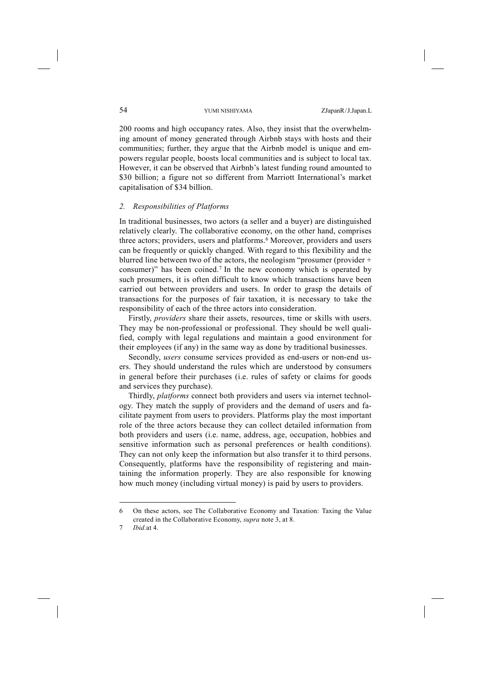200 rooms and high occupancy rates. Also, they insist that the overwhelming amount of money generated through Airbnb stays with hosts and their communities; further, they argue that the Airbnb model is unique and empowers regular people, boosts local communities and is subject to local tax. However, it can be observed that Airbnb's latest funding round amounted to \$30 billion; a figure not so different from Marriott International's market capitalisation of \$34 billion.

#### *2. Responsibilities of Platforms*

In traditional businesses, two actors (a seller and a buyer) are distinguished relatively clearly. The collaborative economy, on the other hand, comprises three actors; providers, users and platforms.<sup>6</sup> Moreover, providers and users can be frequently or quickly changed. With regard to this flexibility and the blurred line between two of the actors, the neologism "prosumer (provider + consumer)" has been coined.7 In the new economy which is operated by such prosumers, it is often difficult to know which transactions have been carried out between providers and users. In order to grasp the details of transactions for the purposes of fair taxation, it is necessary to take the responsibility of each of the three actors into consideration.

Firstly, *providers* share their assets, resources, time or skills with users. They may be non-professional or professional. They should be well qualified, comply with legal regulations and maintain a good environment for their employees (if any) in the same way as done by traditional businesses.

Secondly, *users* consume services provided as end-users or non-end users. They should understand the rules which are understood by consumers in general before their purchases (i.e. rules of safety or claims for goods and services they purchase).

Thirdly, *platforms* connect both providers and users via internet technology. They match the supply of providers and the demand of users and facilitate payment from users to providers. Platforms play the most important role of the three actors because they can collect detailed information from both providers and users (i.e. name, address, age, occupation, hobbies and sensitive information such as personal preferences or health conditions). They can not only keep the information but also transfer it to third persons. Consequently, platforms have the responsibility of registering and maintaining the information properly. They are also responsible for knowing how much money (including virtual money) is paid by users to providers.

<sup>6</sup> On these actors, see The Collaborative Economy and Taxation: Taxing the Value created in the Collaborative Economy, *supra* note 3, at 8.

<sup>7</sup> *Ibid.*at 4.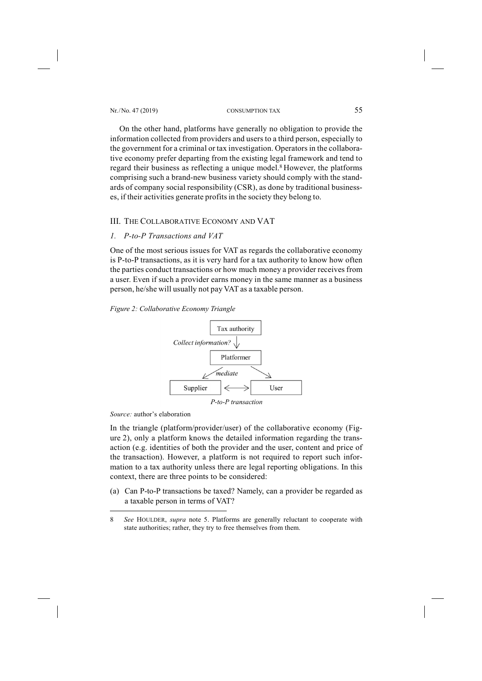Nr. /No. 47 (2019) CONSUMPTION TAX 55

On the other hand, platforms have generally no obligation to provide the information collected from providers and users to a third person, especially to the government for a criminal or tax investigation. Operators in the collaborative economy prefer departing from the existing legal framework and tend to regard their business as reflecting a unique model.<sup>8</sup> However, the platforms comprising such a brand-new business variety should comply with the standards of company social responsibility (CSR), as done by traditional businesses, if their activities generate profits in the society they belong to.

### III. THE COLLABORATIVE ECONOMY AND VAT

#### *1. P-to-P Transactions and VAT*

One of the most serious issues for VAT as regards the collaborative economy is P-to-P transactions, as it is very hard for a tax authority to know how often the parties conduct transactions or how much money a provider receives from a user. Even if such a provider earns money in the same manner as a business person, he/she will usually not pay VAT as a taxable person.

#### *Figure 2: Collaborative Economy Triangle*



*Source:* author's elaboration

-

In the triangle (platform/provider/user) of the collaborative economy (Figure 2), only a platform knows the detailed information regarding the transaction (e.g. identities of both the provider and the user, content and price of the transaction). However, a platform is not required to report such information to a tax authority unless there are legal reporting obligations. In this context, there are three points to be considered:

(a) Can P-to-P transactions be taxed? Namely, can a provider be regarded as a taxable person in terms of VAT?

<sup>8</sup> *See* HOULDER, *supra* note 5. Platforms are generally reluctant to cooperate with state authorities; rather, they try to free themselves from them.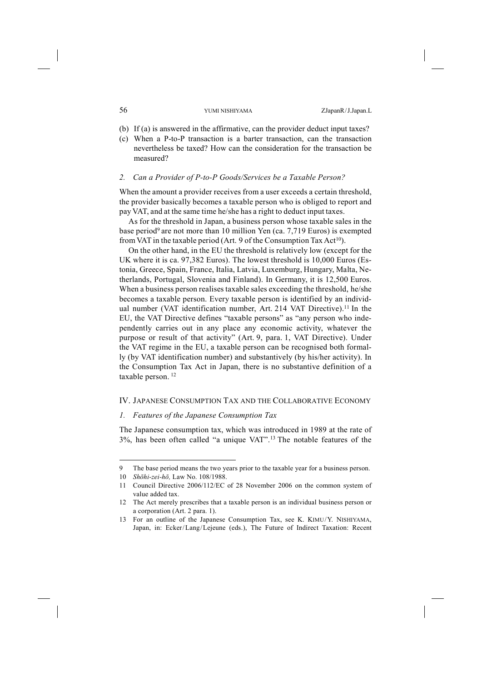- (b) If (a) is answered in the affirmative, can the provider deduct input taxes?
- (c) When a P-to-P transaction is a barter transaction, can the transaction nevertheless be taxed? How can the consideration for the transaction be measured?

#### *2. Can a Provider of P-to-P Goods/Services be a Taxable Person?*

When the amount a provider receives from a user exceeds a certain threshold, the provider basically becomes a taxable person who is obliged to report and pay VAT, and at the same time he/she has a right to deduct input taxes.

As for the threshold in Japan, a business person whose taxable sales in the base period<sup>9</sup> are not more than 10 million Yen (ca. 7,719 Euros) is exempted from VAT in the taxable period (Art. 9 of the Consumption Tax  $Act^{10}$ ).

On the other hand, in the EU the threshold is relatively low (except for the UK where it is ca. 97,382 Euros). The lowest threshold is 10,000 Euros (Estonia, Greece, Spain, France, Italia, Latvia, Luxemburg, Hungary, Malta, Netherlands, Portugal, Slovenia and Finland). In Germany, it is 12,500 Euros. When a business person realises taxable sales exceeding the threshold, he/she becomes a taxable person. Every taxable person is identified by an individual number (VAT identification number, Art. 214 VAT Directive).<sup>11</sup> In the EU, the VAT Directive defines "taxable persons" as "any person who independently carries out in any place any economic activity, whatever the purpose or result of that activity" (Art. 9, para. 1, VAT Directive). Under the VAT regime in the EU, a taxable person can be recognised both formally (by VAT identification number) and substantively (by his/her activity). In the Consumption Tax Act in Japan, there is no substantive definition of a taxable person. 12

#### IV. JAPANESE CONSUMPTION TAX AND THE COLLABORATIVE ECONOMY

#### *1. Features of the Japanese Consumption Tax*

The Japanese consumption tax, which was introduced in 1989 at the rate of 3%, has been often called "a unique VAT".13 The notable features of the

<sup>9</sup> The base period means the two years prior to the taxable year for a business person.

<sup>10</sup> *Shōhi-zei-hō,* Law No. 108/1988.

<sup>11</sup> Council Directive 2006/112/EC of 28 November 2006 on the common system of value added tax.

<sup>12</sup> The Act merely prescribes that a taxable person is an individual business person or a corporation (Art. 2 para. 1).

<sup>13</sup> For an outline of the Japanese Consumption Tax, see K. KIMU/Y. NISHIYAMA, Japan, in: Ecker/Lang/Lejeune (eds.), The Future of Indirect Taxation: Recent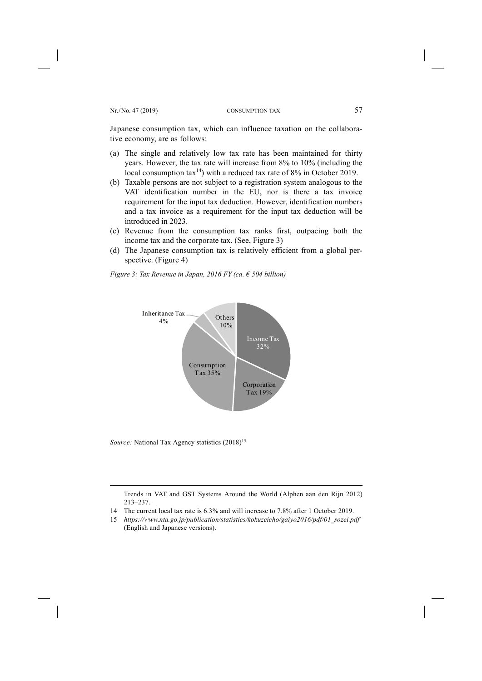Japanese consumption tax, which can influence taxation on the collaborative economy, are as follows:

- (a) The single and relatively low tax rate has been maintained for thirty years. However, the tax rate will increase from 8% to 10% (including the local consumption  $\text{tax}^{14}$ ) with a reduced tax rate of 8% in October 2019.
- (b) Taxable persons are not subject to a registration system analogous to the VAT identification number in the EU, nor is there a tax invoice requirement for the input tax deduction. However, identification numbers and a tax invoice as a requirement for the input tax deduction will be introduced in 2023.
- (c) Revenue from the consumption tax ranks first, outpacing both the income tax and the corporate tax. (See, Figure 3)
- (d) The Japanese consumption tax is relatively efficient from a global perspective. (Figure 4)

*Figure 3: Tax Revenue in Japan, 2016 FY (ca. € 504 billion)*



*Source:* National Tax Agency statistics (2018)<sup>15</sup>

-

Trends in VAT and GST Systems Around the World (Alphen aan den Rijn 2012) 213–237.

- 14 The current local tax rate is 6.3% and will increase to 7.8% after 1 October 2019.
- 15 *https://www.nta.go.jp/publication/statistics/kokuzeicho/gaiyo2016/pdf/01\_sozei.pdf* (English and Japanese versions).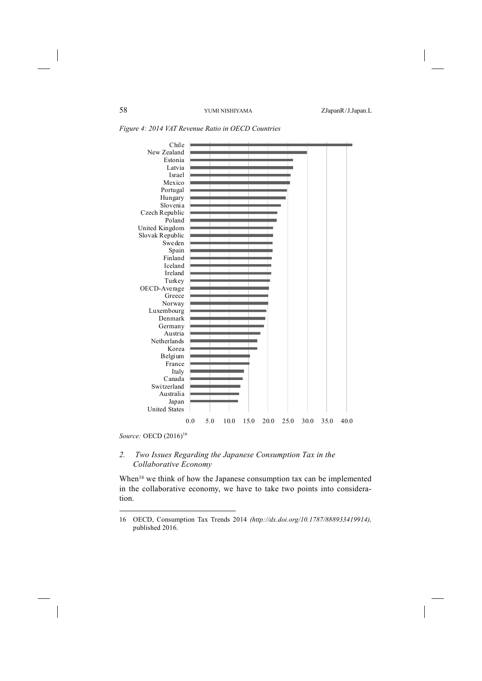| Chile<br>New Zealand<br>Estonia                                    |  |
|--------------------------------------------------------------------|--|
|                                                                    |  |
|                                                                    |  |
| Latvia                                                             |  |
| Israel                                                             |  |
| Mexico                                                             |  |
|                                                                    |  |
| Portugal                                                           |  |
| Hungary                                                            |  |
| Slovenia                                                           |  |
| Czech Republic                                                     |  |
| Poland                                                             |  |
| United Kingdom                                                     |  |
| Slovak Republic                                                    |  |
| Sweden                                                             |  |
| Spain                                                              |  |
| Finland                                                            |  |
| Iceland                                                            |  |
| Ireland                                                            |  |
| Turkey                                                             |  |
| OECD-Average                                                       |  |
| Greece                                                             |  |
| Norway                                                             |  |
| Luxembourg                                                         |  |
| Denmark                                                            |  |
| Germany                                                            |  |
| Austria                                                            |  |
| Netherlands                                                        |  |
| Korea                                                              |  |
| Belgium                                                            |  |
| France                                                             |  |
| Italy                                                              |  |
| Canada                                                             |  |
| Switzerland                                                        |  |
| Australia                                                          |  |
|                                                                    |  |
| Japan<br><b>United States</b>                                      |  |
|                                                                    |  |
| 0.0<br>15.0<br>25.0<br>35.0<br>5.0<br>10.0<br>20.0<br>30.0<br>40.0 |  |

*Figure 4: 2014 VAT Revenue Ratio in OECD Countries*

*Source:* OECD  $(2016)^{16}$ 

-

### *2. Two Issues Regarding the Japanese Consumption Tax in the Collaborative Economy*

When<sup>16</sup> we think of how the Japanese consumption tax can be implemented in the collaborative economy, we have to take two points into consideration.

<sup>16</sup> OECD, Consumption Tax Trends 2014 *(http://dx.doi.org/10.1787/888933419914),*  published 2016.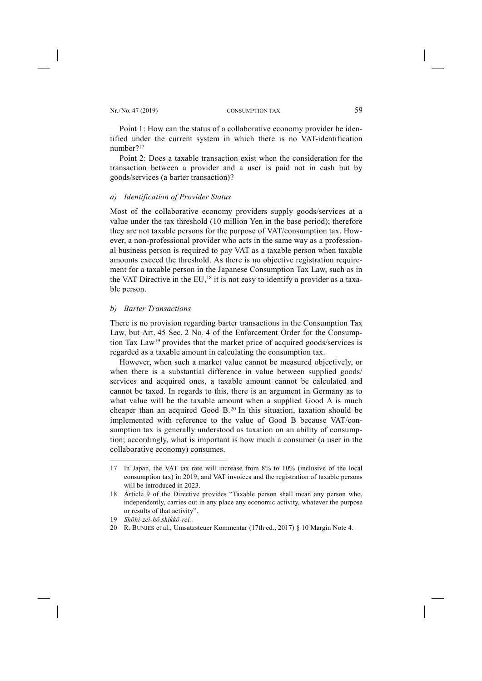#### Nr. /No. 47 (2019) CONSUMPTION TAX 59

Point 1: How can the status of a collaborative economy provider be identified under the current system in which there is no VAT-identification number?17

Point 2: Does a taxable transaction exist when the consideration for the transaction between a provider and a user is paid not in cash but by goods/services (a barter transaction)?

#### *a) Identification of Provider Status*

Most of the collaborative economy providers supply goods/services at a value under the tax threshold (10 million Yen in the base period); therefore they are not taxable persons for the purpose of VAT/consumption tax. However, a non-professional provider who acts in the same way as a professional business person is required to pay VAT as a taxable person when taxable amounts exceed the threshold. As there is no objective registration requirement for a taxable person in the Japanese Consumption Tax Law, such as in the VAT Directive in the  $EU<sub>18</sub>$  it is not easy to identify a provider as a taxable person.

#### *b) Barter Transactions*

There is no provision regarding barter transactions in the Consumption Tax Law, but Art. 45 Sec. 2 No. 4 of the Enforcement Order for the Consumption Tax Law19 provides that the market price of acquired goods/services is regarded as a taxable amount in calculating the consumption tax.

However, when such a market value cannot be measured objectively, or when there is a substantial difference in value between supplied goods/ services and acquired ones, a taxable amount cannot be calculated and cannot be taxed. In regards to this, there is an argument in Germany as to what value will be the taxable amount when a supplied Good A is much cheaper than an acquired Good B.20 In this situation, taxation should be implemented with reference to the value of Good B because VAT/consumption tax is generally understood as taxation on an ability of consumption; accordingly, what is important is how much a consumer (a user in the collaborative economy) consumes.

<sup>17</sup> In Japan, the VAT tax rate will increase from 8% to 10% (inclusive of the local consumption tax) in 2019, and VAT invoices and the registration of taxable persons will be introduced in 2023.

<sup>18</sup> Article 9 of the Directive provides "Taxable person shall mean any person who, independently, carries out in any place any economic activity, whatever the purpose or results of that activity".

<sup>19</sup> *Shōhi-zei-hō shikkō-rei.*

<sup>20</sup> R. BUNJES et al., Umsatzsteuer Kommentar (17th ed., 2017) § 10 Margin Note 4.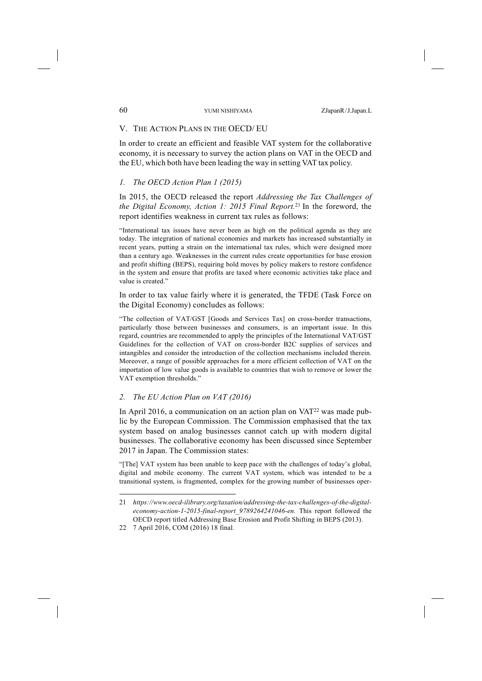### V. THE ACTION PLANS IN THE OECD/ EU

In order to create an efficient and feasible VAT system for the collaborative economy, it is necessary to survey the action plans on VAT in the OECD and the EU, which both have been leading the way in setting VAT tax policy.

## *1. The OECD Action Plan 1 (2015)*

In 2015, the OECD released the report *Addressing the Tax Challenges of the Digital Economy, Action 1: 2015 Final Report.* <sup>21</sup> In the foreword, the report identifies weakness in current tax rules as follows:

"International tax issues have never been as high on the political agenda as they are today. The integration of national economies and markets has increased substantially in recent years, putting a strain on the international tax rules, which were designed more than a century ago. Weaknesses in the current rules create opportunities for base erosion and profit shifting (BEPS), requiring bold moves by policy makers to restore confidence in the system and ensure that profits are taxed where economic activities take place and value is created."

In order to tax value fairly where it is generated, the TFDE (Task Force on the Digital Economy) concludes as follows:

"The collection of VAT/GST [Goods and Services Tax] on cross-border transactions, particularly those between businesses and consumers, is an important issue. In this regard, countries are recommended to apply the principles of the International VAT/GST Guidelines for the collection of VAT on cross-border B2C supplies of services and intangibles and consider the introduction of the collection mechanisms included therein. Moreover, a range of possible approaches for a more efficient collection of VAT on the importation of low value goods is available to countries that wish to remove or lower the VAT exemption thresholds."

### *2. The EU Action Plan on VAT (2016)*

In April 2016, a communication on an action plan on  $VAT<sup>22</sup>$  was made public by the European Commission. The Commission emphasised that the tax system based on analog businesses cannot catch up with modern digital businesses. The collaborative economy has been discussed since September 2017 in Japan. The Commission states:

"[The] VAT system has been unable to keep pace with the challenges of today's global, digital and mobile economy. The current VAT system, which was intended to be a transitional system, is fragmented, complex for the growing number of businesses oper-

<sup>21</sup> *https://www.oecd-ilibrary.org/taxation/addressing-the-tax-challenges-of-the-digitaleconomy-action-1-2015-final-report\_9789264241046-en.* This report followed the OECD report titled Addressing Base Erosion and Profit Shifting in BEPS (2013).

<sup>22</sup> 7 April 2016, COM (2016) 18 final.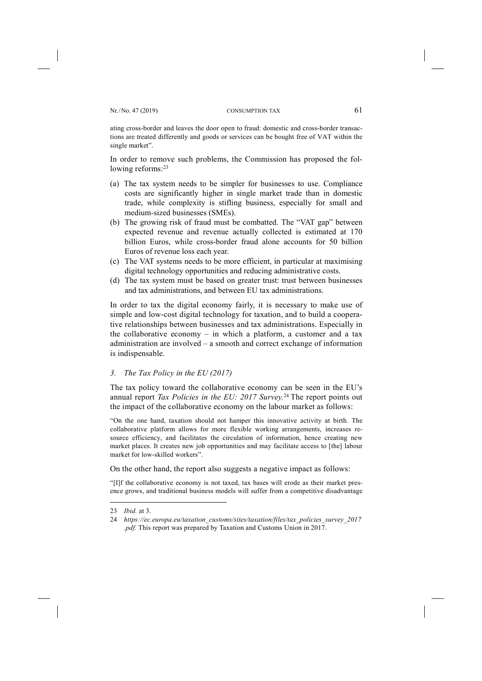ating cross-border and leaves the door open to fraud: domestic and cross-border transactions are treated differently and goods or services can be bought free of VAT within the single market".

In order to remove such problems, the Commission has proposed the following reforms:<sup>23</sup>

- (a) The tax system needs to be simpler for businesses to use. Compliance costs are significantly higher in single market trade than in domestic trade, while complexity is stifling business, especially for small and medium-sized businesses (SMEs).
- (b) The growing risk of fraud must be combatted. The "VAT gap" between expected revenue and revenue actually collected is estimated at 170 billion Euros, while cross-border fraud alone accounts for 50 billion Euros of revenue loss each year.
- (c) The VAT systems needs to be more efficient, in particular at maximising digital technology opportunities and reducing administrative costs.
- (d) The tax system must be based on greater trust: trust between businesses and tax administrations, and between EU tax administrations.

In order to tax the digital economy fairly, it is necessary to make use of simple and low-cost digital technology for taxation, and to build a cooperative relationships between businesses and tax administrations. Especially in the collaborative economy – in which a platform, a customer and a tax administration are involved – a smooth and correct exchange of information is indispensable.

### *3. The Tax Policy in the EU (2017)*

The tax policy toward the collaborative economy can be seen in the EU's annual report *Tax Policies in the EU: 2017 Survey.* <sup>24</sup> The report points out the impact of the collaborative economy on the labour market as follows:

"On the one hand, taxation should not hamper this innovative activity at birth. The collaborative platform allows for more flexible working arrangements, increases resource efficiency, and facilitates the circulation of information, hence creating new market places. It creates new job opportunities and may facilitate access to [the] labour market for low-skilled workers".

On the other hand, the report also suggests a negative impact as follows:

"[I]f the collaborative economy is not taxed, tax bases will erode as their market presence grows, and traditional business models will suffer from a competitive disadvantage

<sup>23</sup> *Ibid.* at 3.

<sup>24</sup> *https://ec.europa.eu/taxation\_customs/sites/taxation/files/tax\_policies\_survey\_2017 .pdf.* This report was prepared by Taxation and Customs Union in 2017.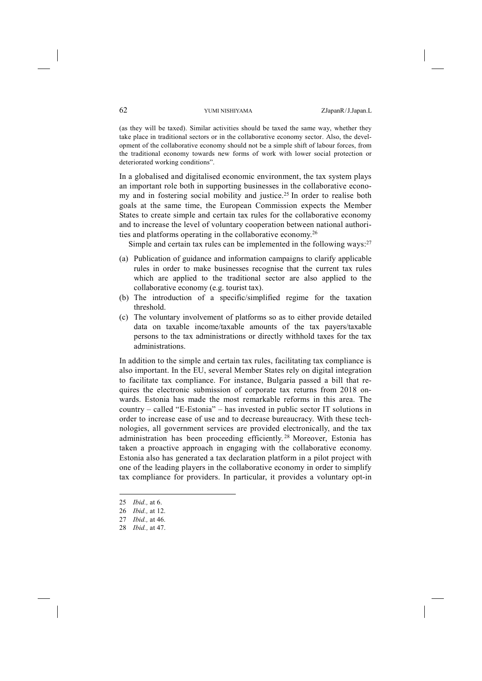(as they will be taxed). Similar activities should be taxed the same way, whether they take place in traditional sectors or in the collaborative economy sector. Also, the development of the collaborative economy should not be a simple shift of labour forces, from the traditional economy towards new forms of work with lower social protection or deteriorated working conditions".

In a globalised and digitalised economic environment, the tax system plays an important role both in supporting businesses in the collaborative economy and in fostering social mobility and justice.<sup>25</sup> In order to realise both goals at the same time, the European Commission expects the Member States to create simple and certain tax rules for the collaborative economy and to increase the level of voluntary cooperation between national authorities and platforms operating in the collaborative economy.26

Simple and certain tax rules can be implemented in the following ways: $27$ 

- (a) Publication of guidance and information campaigns to clarify applicable rules in order to make businesses recognise that the current tax rules which are applied to the traditional sector are also applied to the collaborative economy (e.g. tourist tax).
- (b) The introduction of a specific/simplified regime for the taxation threshold.
- (c) The voluntary involvement of platforms so as to either provide detailed data on taxable income/taxable amounts of the tax payers/taxable persons to the tax administrations or directly withhold taxes for the tax administrations.

In addition to the simple and certain tax rules, facilitating tax compliance is also important. In the EU, several Member States rely on digital integration to facilitate tax compliance. For instance, Bulgaria passed a bill that requires the electronic submission of corporate tax returns from 2018 onwards. Estonia has made the most remarkable reforms in this area. The country – called "E-Estonia" – has invested in public sector IT solutions in order to increase ease of use and to decrease bureaucracy. With these technologies, all government services are provided electronically, and the tax administration has been proceeding efficiently. <sup>28</sup> Moreover, Estonia has taken a proactive approach in engaging with the collaborative economy. Estonia also has generated a tax declaration platform in a pilot project with one of the leading players in the collaborative economy in order to simplify tax compliance for providers. In particular, it provides a voluntary opt-in

<sup>25</sup> *Ibid.,* at 6.

<sup>26</sup> *Ibid.,* at 12.

<sup>27</sup> *Ibid.,* at 46.

<sup>28</sup> *Ibid.,* at 47.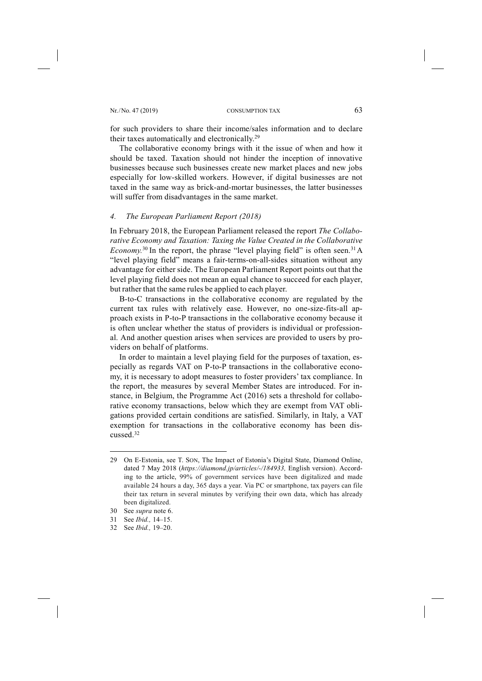for such providers to share their income/sales information and to declare their taxes automatically and electronically.29

The collaborative economy brings with it the issue of when and how it should be taxed. Taxation should not hinder the inception of innovative businesses because such businesses create new market places and new jobs especially for low-skilled workers. However, if digital businesses are not taxed in the same way as brick-and-mortar businesses, the latter businesses will suffer from disadvantages in the same market.

### *4. The European Parliament Report (2018)*

In February 2018, the European Parliament released the report *The Collaborative Economy and Taxation: Taxing the Value Created in the Collaborative Economy*.<sup>30</sup> In the report, the phrase "level playing field" is often seen.<sup>31</sup> A "level playing field" means a fair-terms-on-all-sides situation without any advantage for either side. The European Parliament Report points out that the level playing field does not mean an equal chance to succeed for each player, but rather that the same rules be applied to each player.

B-to-C transactions in the collaborative economy are regulated by the current tax rules with relatively ease. However, no one-size-fits-all approach exists in P-to-P transactions in the collaborative economy because it is often unclear whether the status of providers is individual or professional. And another question arises when services are provided to users by providers on behalf of platforms.

In order to maintain a level playing field for the purposes of taxation, especially as regards VAT on P-to-P transactions in the collaborative economy, it is necessary to adopt measures to foster providers' tax compliance. In the report, the measures by several Member States are introduced. For instance, in Belgium, the Programme Act (2016) sets a threshold for collaborative economy transactions, below which they are exempt from VAT obligations provided certain conditions are satisfied. Similarly, in Italy, a VAT exemption for transactions in the collaborative economy has been discussed<sup>32</sup>

<sup>29</sup> On E-Estonia, see T. SON, The Impact of Estonia's Digital State, Diamond Online, dated 7 May 2018 (*https://diamond.jp/articles/-/184933,* English version). According to the article, 99% of government services have been digitalized and made available 24 hours a day, 365 days a year. Via PC or smartphone, tax payers can file their tax return in several minutes by verifying their own data, which has already been digitalized.

<sup>30</sup> See *supra* note 6.

<sup>31</sup> See *Ibid.,* 14–15.

<sup>32</sup> See *Ibid.,* 19–20.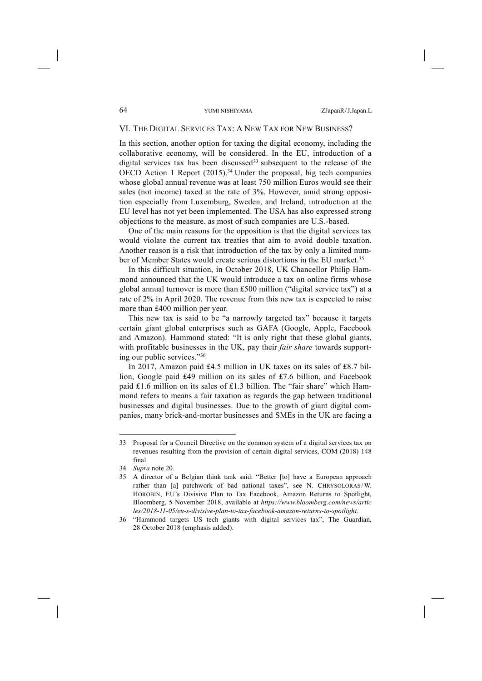# VI. THE DIGITAL SERVICES TAX: A NEW TAX FOR NEW BUSINESS?

In this section, another option for taxing the digital economy, including the collaborative economy, will be considered. In the EU, introduction of a digital services tax has been discussed<sup>33</sup> subsequent to the release of the OECD Action 1 Report  $(2015)^{34}$  Under the proposal, big tech companies whose global annual revenue was at least 750 million Euros would see their sales (not income) taxed at the rate of 3%. However, amid strong opposition especially from Luxemburg, Sweden, and Ireland, introduction at the EU level has not yet been implemented. The USA has also expressed strong objections to the measure, as most of such companies are U.S.-based.

One of the main reasons for the opposition is that the digital services tax would violate the current tax treaties that aim to avoid double taxation. Another reason is a risk that introduction of the tax by only a limited number of Member States would create serious distortions in the EU market.35

In this difficult situation, in October 2018, UK Chancellor Philip Hammond announced that the UK would introduce a tax on online firms whose global annual turnover is more than ₤500 million ("digital service tax") at a rate of 2% in April 2020. The revenue from this new tax is expected to raise more than £400 million per year.

This new tax is said to be "a narrowly targeted tax" because it targets certain giant global enterprises such as GAFA (Google, Apple, Facebook and Amazon). Hammond stated: "It is only right that these global giants, with profitable businesses in the UK, pay their *fair share* towards supporting our public services."36

In 2017, Amazon paid ₤4.5 million in UK taxes on its sales of ₤8.7 billion, Google paid ₤49 million on its sales of ₤7.6 billion, and Facebook paid ₤1.6 million on its sales of ₤1.3 billion. The "fair share" which Hammond refers to means a fair taxation as regards the gap between traditional businesses and digital businesses. Due to the growth of giant digital companies, many brick-and-mortar businesses and SMEs in the UK are facing a

<sup>33</sup> Proposal for a Council Directive on the common system of a digital services tax on revenues resulting from the provision of certain digital services, COM (2018) 148 final.

<sup>34</sup> *Supra* note 20.

<sup>35</sup> A director of a Belgian think tank said: "Better [to] have a European approach rather than [a] patchwork of bad national taxes", see N. CHRYSOLORAS/W. HOROBIN, EU's Divisive Plan to Tax Facebook, Amazon Returns to Spotlight, Bloomberg, 5 November 2018, available at *https://www.bloomberg.com/news/artic les/2018-11-05/eu-s-divisive-plan-to-tax-facebook-amazon-returns-to-spotlight.*

<sup>36</sup> "Hammond targets US tech giants with digital services tax", The Guardian, 28 October 2018 (emphasis added).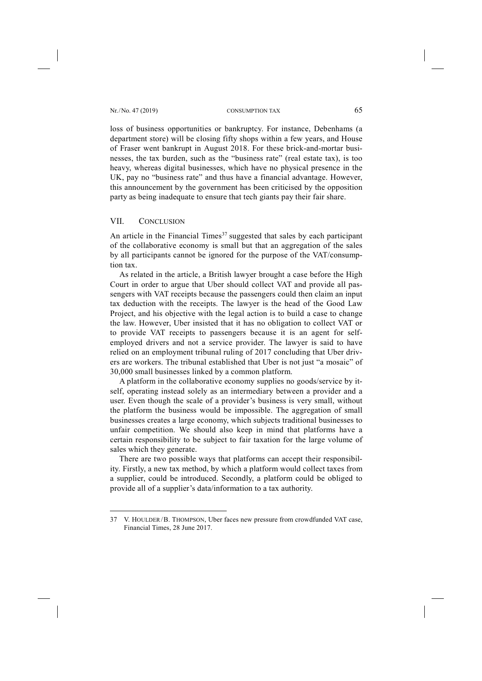Nr. /No. 47 (2019) CONSUMPTION TAX 65

loss of business opportunities or bankruptcy. For instance, Debenhams (a department store) will be closing fifty shops within a few years, and House of Fraser went bankrupt in August 2018. For these brick-and-mortar businesses, the tax burden, such as the "business rate" (real estate tax), is too heavy, whereas digital businesses, which have no physical presence in the UK, pay no "business rate" and thus have a financial advantage. However, this announcement by the government has been criticised by the opposition party as being inadequate to ensure that tech giants pay their fair share.

### VII. CONCLUSION

-

An article in the Financial Times<sup>37</sup> suggested that sales by each participant of the collaborative economy is small but that an aggregation of the sales by all participants cannot be ignored for the purpose of the VAT/consumption tax.

As related in the article, a British lawyer brought a case before the High Court in order to argue that Uber should collect VAT and provide all passengers with VAT receipts because the passengers could then claim an input tax deduction with the receipts. The lawyer is the head of the Good Law Project, and his objective with the legal action is to build a case to change the law. However, Uber insisted that it has no obligation to collect VAT or to provide VAT receipts to passengers because it is an agent for selfemployed drivers and not a service provider. The lawyer is said to have relied on an employment tribunal ruling of 2017 concluding that Uber drivers are workers. The tribunal established that Uber is not just "a mosaic" of 30,000 small businesses linked by a common platform.

A platform in the collaborative economy supplies no goods/service by itself, operating instead solely as an intermediary between a provider and a user. Even though the scale of a provider's business is very small, without the platform the business would be impossible. The aggregation of small businesses creates a large economy, which subjects traditional businesses to unfair competition. We should also keep in mind that platforms have a certain responsibility to be subject to fair taxation for the large volume of sales which they generate.

There are two possible ways that platforms can accept their responsibility. Firstly, a new tax method, by which a platform would collect taxes from a supplier, could be introduced. Secondly, a platform could be obliged to provide all of a supplier's data/information to a tax authority.

<sup>37</sup> V. HOULDER/B. THOMPSON, Uber faces new pressure from crowdfunded VAT case, Financial Times, 28 June 2017.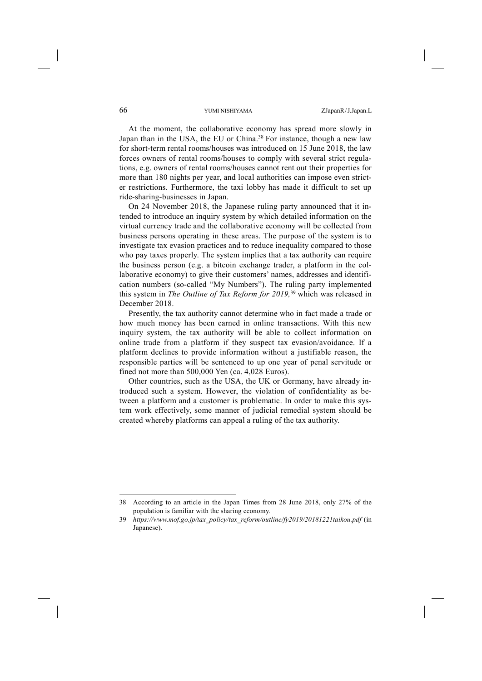At the moment, the collaborative economy has spread more slowly in Japan than in the USA, the EU or China.<sup>38</sup> For instance, though a new law for short-term rental rooms/houses was introduced on 15 June 2018, the law forces owners of rental rooms/houses to comply with several strict regulations, e.g. owners of rental rooms/houses cannot rent out their properties for more than 180 nights per year, and local authorities can impose even stricter restrictions. Furthermore, the taxi lobby has made it difficult to set up ride-sharing-businesses in Japan.

On 24 November 2018, the Japanese ruling party announced that it intended to introduce an inquiry system by which detailed information on the virtual currency trade and the collaborative economy will be collected from business persons operating in these areas. The purpose of the system is to investigate tax evasion practices and to reduce inequality compared to those who pay taxes properly. The system implies that a tax authority can require the business person (e.g. a bitcoin exchange trader, a platform in the collaborative economy) to give their customers' names, addresses and identification numbers (so-called "My Numbers"). The ruling party implemented this system in *The Outline of Tax Reform for 2019,* <sup>39</sup> which was released in December 2018.

Presently, the tax authority cannot determine who in fact made a trade or how much money has been earned in online transactions. With this new inquiry system, the tax authority will be able to collect information on online trade from a platform if they suspect tax evasion/avoidance. If a platform declines to provide information without a justifiable reason, the responsible parties will be sentenced to up one year of penal servitude or fined not more than 500,000 Yen (ca. 4,028 Euros).

Other countries, such as the USA, the UK or Germany, have already introduced such a system. However, the violation of confidentiality as between a platform and a customer is problematic. In order to make this system work effectively, some manner of judicial remedial system should be created whereby platforms can appeal a ruling of the tax authority.

<sup>38</sup> According to an article in the Japan Times from 28 June 2018, only 27% of the population is familiar with the sharing economy.

<sup>39</sup> *https://www.mof.go.jp/tax\_policy/tax\_reform/outline/fy2019/20181221taikou.pdf* (in Japanese).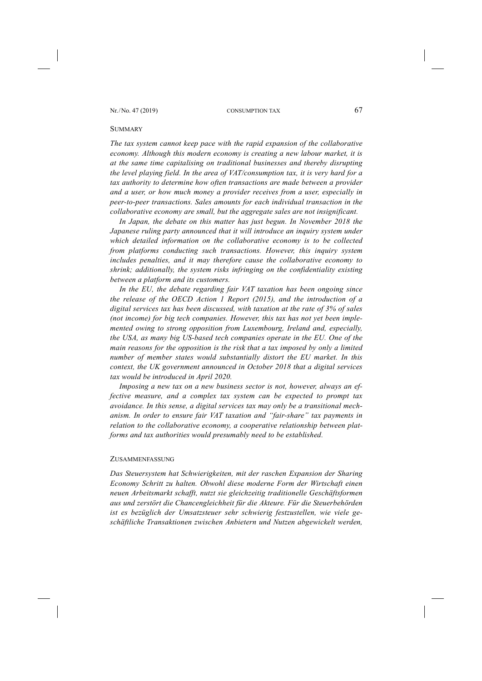#### **SUMMARY**

*The tax system cannot keep pace with the rapid expansion of the collaborative economy. Although this modern economy is creating a new labour market, it is at the same time capitalising on traditional businesses and thereby disrupting the level playing field. In the area of VAT/consumption tax, it is very hard for a*  tax authority to determine how often transactions are made between a provider and a user, or how much money a provider receives from a user, especially in *peer-to-peer transactions. Sales amounts for each individual transaction in the collaborative economy are small, but the aggregate sales are not insignificant.* 

In Japan, the debate on this matter has just begun. In November 2018 the *Japanese ruling party announced that it will introduce an inquiry system under which detailed information on the collaborative economy is to be collected from platforms conducting such transactions. However, this inquiry system includes penalties, and it may therefore cause the collaborative economy to shrink; additionally, the system risks infringing on the confidentiality existing between a platform and its customers.* 

*In the EU, the debate regarding fair VAT taxation has been ongoing since the release of the OECD Action 1 Report (2015), and the introduction of a digital services tax has been discussed, with taxation at the rate of 3% of sales (not income) for big tech companies. However, this tax has not yet been implemented owing to strong opposition from Luxembourg, Ireland and, especially, the USA, as many big US-based tech companies operate in the EU. One of the main reasons for the opposition is the risk that a tax imposed by only a limited number of member states would substantially distort the EU market. In this context, the UK government announced in October 2018 that a digital services tax would be introduced in April 2020.* 

*Imposing a new tax on a new business sector is not, however, always an effective measure, and a complex tax system can be expected to prompt tax avoidance. In this sense, a digital services tax may only be a transitional mechanism. In order to ensure fair VAT taxation and "fair-share" tax payments in relation to the collaborative economy, a cooperative relationship between platforms and tax authorities would presumably need to be established.* 

#### ZUSAMMENFASSUNG

*Das Steuersystem hat Schwierigkeiten, mit der raschen Expansion der Sharing Economy Schritt zu halten. Obwohl diese moderne Form der Wirtschaft einen neuen Arbeitsmarkt schafft, nutzt sie gleichzeitig traditionelle Geschäftsformen aus und zerstört die Chancengleichheit für die Akteure. Für die Steuerbehörden ist es bezüglich der Umsatzsteuer sehr schwierig festzustellen, wie viele geschäftliche Transaktionen zwischen Anbietern und Nutzen abgewickelt werden,*